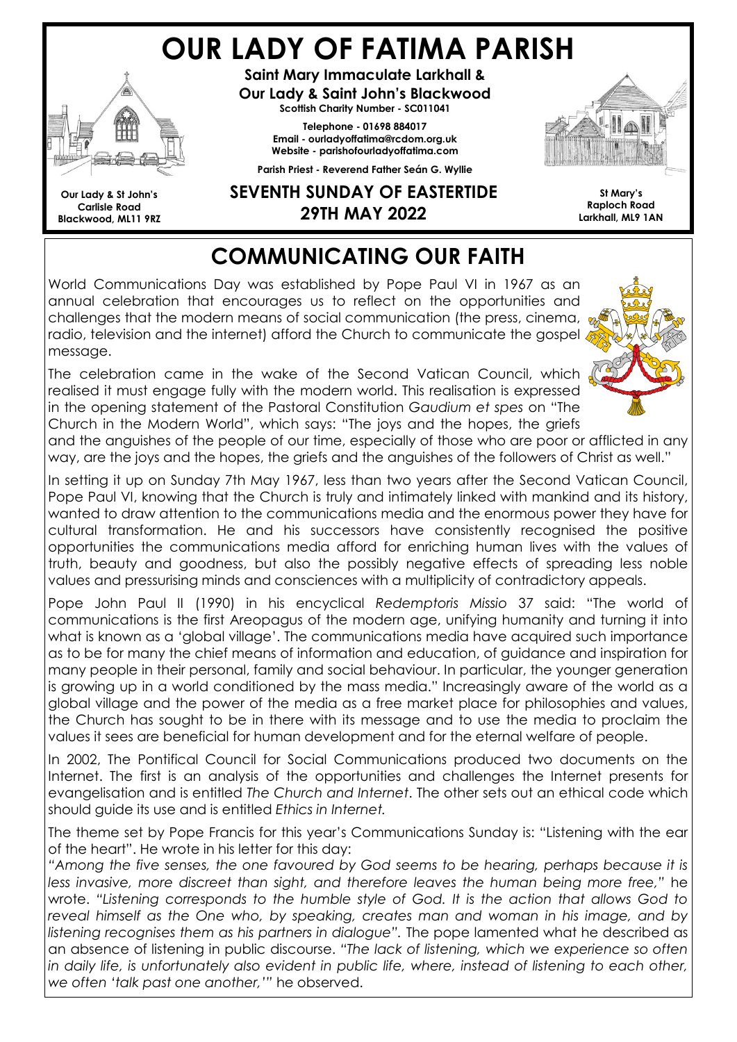# OUR LADY OF FATIMA PARISH



Our Lady & St John's Carlisle Road Blackwood, ML11 9RZ

Saint Mary Immaculate Larkhall & Our Lady & Saint John's Blackwood Scottish Charity Number - SC011041

> Telephone - 01698 884017 Email - ourladyoffatima@rcdom.org.uk Website - parishofourladyoffatima.com

Parish Priest - Reverend Father Seán G. Wyllie



SEVENTH SUNDAY OF EASTERTIDE 29TH MAY 2022

St Mary's Raploch Road Larkhall, ML9 1AN

## COMMUNICATING OUR FAITH

World Communications Day was established by Pope Paul VI in 1967 as an annual celebration that encourages us to reflect on the opportunities and challenges that the modern means of social communication (the press, cinema, radio, television and the internet) afford the Church to communicate the gospel message.

The celebration came in the wake of the Second Vatican Council, which realised it must engage fully with the modern world. This realisation is expressed in the opening statement of the Pastoral Constitution Gaudium et spes on "The Church in the Modern World", which says: "The joys and the hopes, the griefs



and the anguishes of the people of our time, especially of those who are poor or afflicted in any way, are the joys and the hopes, the griefs and the anguishes of the followers of Christ as well."

In setting it up on Sunday 7th May 1967, less than two years after the Second Vatican Council, Pope Paul VI, knowing that the Church is truly and intimately linked with mankind and its history, wanted to draw attention to the communications media and the enormous power they have for cultural transformation. He and his successors have consistently recognised the positive opportunities the communications media afford for enriching human lives with the values of truth, beauty and goodness, but also the possibly negative effects of spreading less noble values and pressurising minds and consciences with a multiplicity of contradictory appeals.

Pope John Paul II (1990) in his encyclical Redemptoris Missio 37 said: "The world of communications is the first Areopagus of the modern age, unifying humanity and turning it into what is known as a 'global village'. The communications media have acquired such importance as to be for many the chief means of information and education, of guidance and inspiration for many people in their personal, family and social behaviour. In particular, the younger generation is growing up in a world conditioned by the mass media." Increasingly aware of the world as a global village and the power of the media as a free market place for philosophies and values, the Church has sought to be in there with its message and to use the media to proclaim the values it sees are beneficial for human development and for the eternal welfare of people.

In 2002, The Pontifical Council for Social Communications produced two documents on the Internet. The first is an analysis of the opportunities and challenges the Internet presents for evangelisation and is entitled The Church and Internet. The other sets out an ethical code which should guide its use and is entitled Ethics in Internet.

The theme set by Pope Francis for this year's Communications Sunday is: "Listening with the ear of the heart". He wrote in his letter for this day:

"Among the five senses, the one favoured by God seems to be hearing, perhaps because it is less invasive, more discreet than sight, and therefore leaves the human being more free," he wrote. "Listening corresponds to the humble style of God. It is the action that allows God to reveal himself as the One who, by speaking, creates man and woman in his image, and by listening recognises them as his partners in dialogue". The pope lamented what he described as an absence of listening in public discourse. "The lack of listening, which we experience so often in daily life, is unfortunately also evident in public life, where, instead of listening to each other, we often 'talk past one another,'" he observed.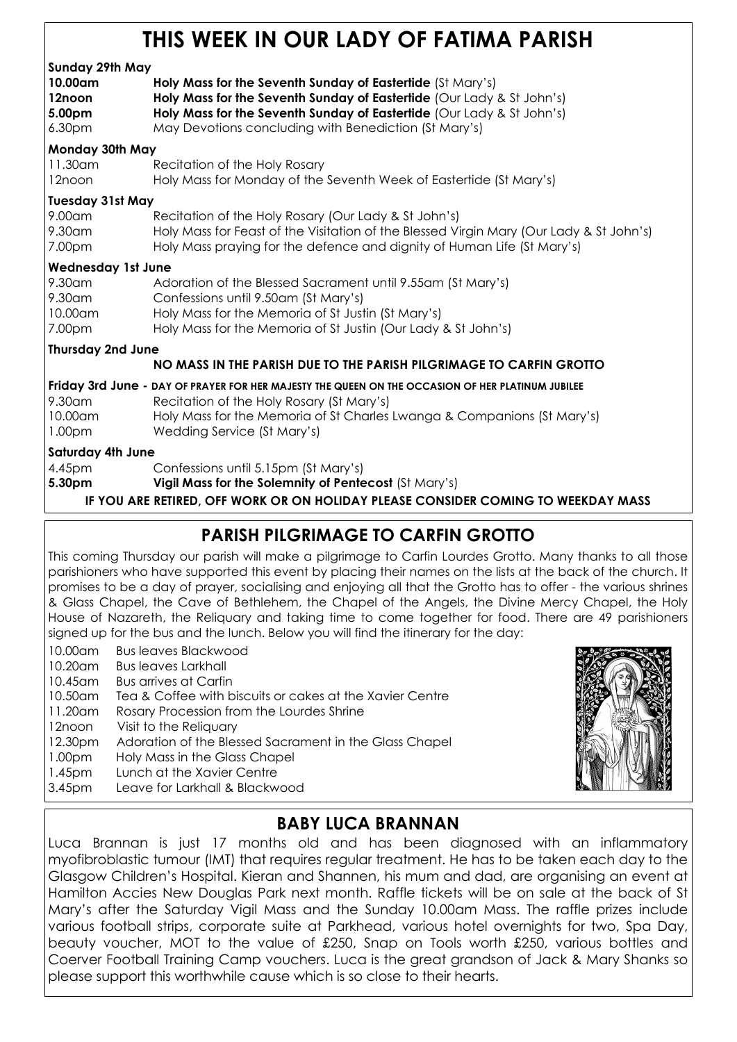### THIS WEEK IN OUR LADY OF FATIMA PARISH

#### Sunday 29th May 10.00am Holy Mass for the Seventh Sunday of Eastertide (St Mary's) 12noon **Holy Mass for the Seventh Sunday of Eastertide** (Our Lady & St John's) 5.00pm Holy Mass for the Seventh Sunday of Eastertide (Our Lady & St John's) 6.30pm May Devotions concluding with Benediction (St Mary's) Monday 30th May 11.30am Recitation of the Holy Rosary 12noon Holy Mass for Monday of the Seventh Week of Eastertide (St Mary's) Tuesday 31st May 9.00am Recitation of the Holy Rosary (Our Lady & St John's) Holy Mass for Feast of the Visitation of the Blessed Virgin Mary (Our Lady & St John's) 7.00pm Holy Mass praying for the defence and dignity of Human Life (St Mary's) Wednesday 1st June 9.30am Adoration of the Blessed Sacrament until 9.55am (St Mary's) 9.30am Confessions until 9.50am (St Mary's) 10.00am Holy Mass for the Memoria of St Justin (St Mary's) 7.00pm Holy Mass for the Memoria of St Justin (Our Lady & St John's) Thursday 2nd June NO MASS IN THE PARISH DUE TO THE PARISH PILGRIMAGE TO CARFIN GROTTO Friday 3rd June - DAY OF PRAYER FOR HER MAJESTY THE QUEEN ON THE OCCASION OF HER PLATINUM JUBILEE 9.30am Recitation of the Holy Rosary (St Mary's) 10.00am Holy Mass for the Memoria of St Charles Lwanga & Companions (St Mary's) 1.00pm Wedding Service (St Mary's) Saturday 4th June 4.45pm Confessions until 5.15pm (St Mary's) 5.30pm Vigil Mass for the Solemnity of Pentecost (St Mary's)

IF YOU ARE RETIRED, OFF WORK OR ON HOLIDAY PLEASE CONSIDER COMING TO WEEKDAY MASS

#### PARISH PILGRIMAGE TO CARFIN GROTTO

This coming Thursday our parish will make a pilgrimage to Carfin Lourdes Grotto. Many thanks to all those parishioners who have supported this event by placing their names on the lists at the back of the church. It promises to be a day of prayer, socialising and enjoying all that the Grotto has to offer - the various shrines & Glass Chapel, the Cave of Bethlehem, the Chapel of the Angels, the Divine Mercy Chapel, the Holy House of Nazareth, the Reliquary and taking time to come together for food. There are 49 parishioners signed up for the bus and the lunch. Below you will find the itinerary for the day:

- 10.00am Bus leaves Blackwood
- 10.20am Bus leaves Larkhall
- 10.45am Bus arrives at Carfin
- 10.50am Tea & Coffee with biscuits or cakes at the Xavier Centre
- 11.20am Rosary Procession from the Lourdes Shrine
- 12noon Visit to the Reliquary
- 12.30pm Adoration of the Blessed Sacrament in the Glass Chapel
- 1.00pm Holy Mass in the Glass Chapel
- 1.45pm Lunch at the Xavier Centre
- 3.45pm Leave for Larkhall & Blackwood



#### BABY LUCA BRANNAN

Luca Brannan is just 17 months old and has been diagnosed with an inflammatory myofibroblastic tumour (IMT) that requires regular treatment. He has to be taken each day to the Glasgow Children's Hospital. Kieran and Shannen, his mum and dad, are organising an event at Hamilton Accies New Douglas Park next month. Raffle tickets will be on sale at the back of St Mary's after the Saturday Vigil Mass and the Sunday 10.00am Mass. The raffle prizes include various football strips, corporate suite at Parkhead, various hotel overnights for two, Spa Day, beauty voucher, MOT to the value of £250, Snap on Tools worth £250, various bottles and Coerver Football Training Camp vouchers. Luca is the great grandson of Jack & Mary Shanks so please support this worthwhile cause which is so close to their hearts.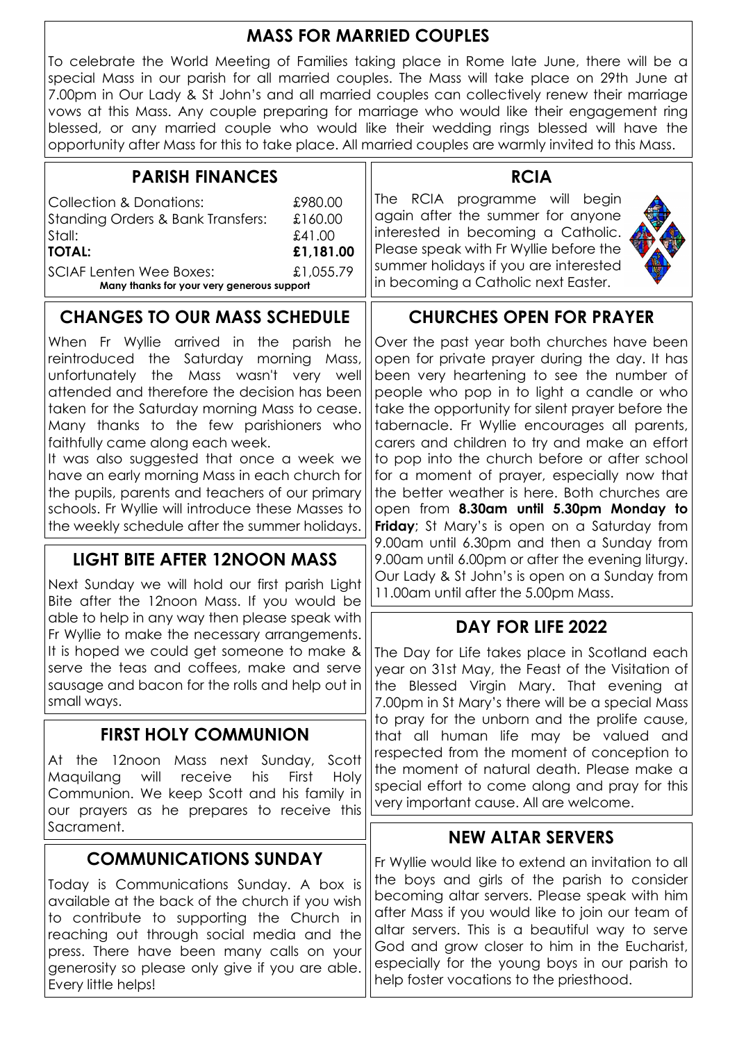#### MASS FOR MARRIED COUPLES

To celebrate the World Meeting of Families taking place in Rome late June, there will be a special Mass in our parish for all married couples. The Mass will take place on 29th June at 7.00pm in Our Lady & St John's and all married couples can collectively renew their marriage vows at this Mass. Any couple preparing for marriage who would like their engagement ring blessed, or any married couple who would like their wedding rings blessed will have the opportunity after Mass for this to take place. All married couples are warmly invited to this Mass.

| <b>PARISH FINANCES</b>                                                                                                                                                                                                     |  | <b>RCIA</b>                                                                                                                                                                                                                        |             |
|----------------------------------------------------------------------------------------------------------------------------------------------------------------------------------------------------------------------------|--|------------------------------------------------------------------------------------------------------------------------------------------------------------------------------------------------------------------------------------|-------------|
| Collection & Donations:<br>£980.00<br>Standing Orders & Bank Transfers:<br>£160.00<br>Stall:<br>£41.00<br><b>TOTAL:</b><br>£1,181.00<br>£1,055.79<br>SCIAF Lenten Wee Boxes:<br>Many thanks for your very generous support |  | The RCIA programme will begin<br>again after the summer for anyone<br>interested in becoming a Catholic.<br>Please speak with Fr Wyllie before the<br>summer holidays if you are interested<br>in becoming a Catholic next Easter. | <b>TANK</b> |
|                                                                                                                                                                                                                            |  |                                                                                                                                                                                                                                    |             |

#### CHANGES TO OUR MASS SCHEDULE

When Fr Wyllie arrived in the parish he reintroduced the Saturday morning Mass, unfortunately the Mass wasn't very well attended and therefore the decision has been taken for the Saturday morning Mass to cease. Many thanks to the few parishioners who faithfully came along each week.

It was also suggested that once a week we have an early morning Mass in each church for the pupils, parents and teachers of our primary schools. Fr Wyllie will introduce these Masses to the weekly schedule after the summer holidays.

#### LIGHT BITE AFTER 12NOON MASS

Next Sunday we will hold our first parish Light Bite after the 12noon Mass. If you would be able to help in any way then please speak with Fr Wyllie to make the necessary arrangements. It is hoped we could get someone to make & serve the teas and coffees, make and serve sausage and bacon for the rolls and help out in small ways.

#### FIRST HOLY COMMUNION

At the 12noon Mass next Sunday, Scott Maquilang will receive his First Holy Communion. We keep Scott and his family in our prayers as he prepares to receive this Sacrament.

#### COMMUNICATIONS SUNDAY

Today is Communications Sunday. A box is available at the back of the church if you wish to contribute to supporting the Church in reaching out through social media and the press. There have been many calls on your generosity so please only give if you are able. Every little helps!

#### CHURCHES OPEN FOR PRAYER

Over the past year both churches have been open for private prayer during the day. It has been very heartening to see the number of people who pop in to light a candle or who take the opportunity for silent prayer before the tabernacle. Fr Wyllie encourages all parents, carers and children to try and make an effort to pop into the church before or after school for a moment of prayer, especially now that the better weather is here. Both churches are open from 8.30am until 5.30pm Monday to Friday; St Mary's is open on a Saturday from 9.00am until 6.30pm and then a Sunday from 9.00am until 6.00pm or after the evening liturgy. Our Lady & St John's is open on a Sunday from 11.00am until after the 5.00pm Mass.

#### DAY FOR LIFE 2022

The Day for Life takes place in Scotland each year on 31st May, the Feast of the Visitation of the Blessed Virgin Mary. That evening at 7.00pm in St Mary's there will be a special Mass to pray for the unborn and the prolife cause, that all human life may be valued and respected from the moment of conception to the moment of natural death. Please make a special effort to come along and pray for this very important cause. All are welcome.

#### NEW ALTAR SERVERS

Fr Wyllie would like to extend an invitation to all the boys and girls of the parish to consider becoming altar servers. Please speak with him after Mass if you would like to join our team of altar servers. This is a beautiful way to serve God and grow closer to him in the Eucharist, especially for the young boys in our parish to help foster vocations to the priesthood.